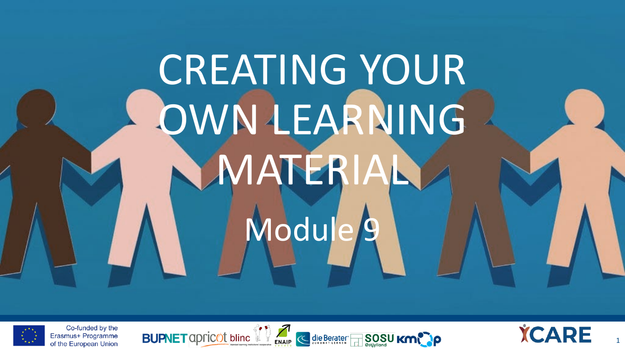# CREATING YOUR OWN LEARNING **MATERIA** Module/9



Co-funded by the Erasmus+ Programme of the European Union BUPNET apricot blinc if a subsequent SOSU Km



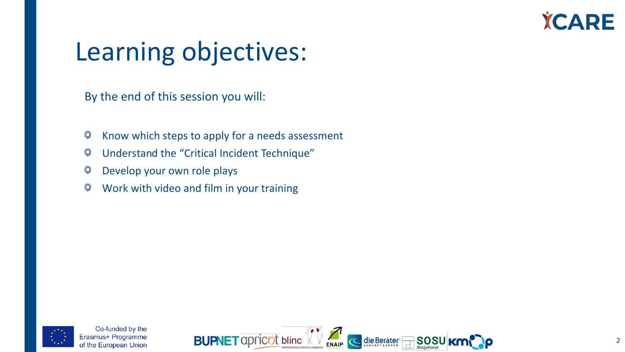

### Learning objectives:

By the end of this session you will:

- 9 Know which steps to apply for a needs assessment
- Understand the "Critical Incident Technique" 9
- Develop your own role plays Ģ
- 9 Work with video and film in your training



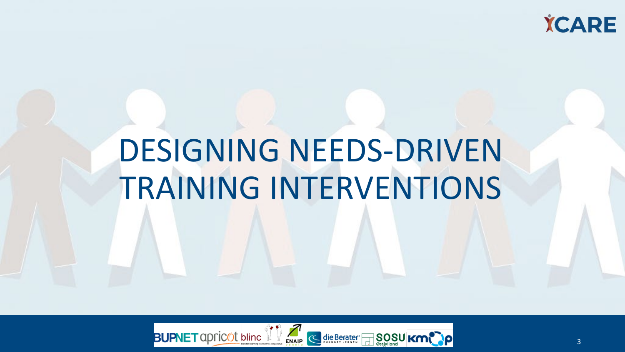### **YCARE**

# DESIGNING NEEDS-DRIVEN TRAINING INTERVENTIONS

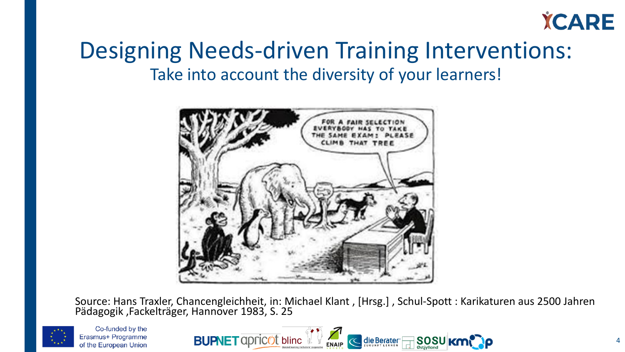

### Designing Needs-driven Training Interventions: Take into account the diversity of your learners!



Source: Hans Traxler, Chancengleichheit, in: Michael Klant , [Hrsg.] , Schul-Spott : Karikaturen aus 2500 Jahren Pädagogik ,Fackelträger, Hannover 1983, S. 25



Co-funded by the Erasmus+ Programme of the European Union

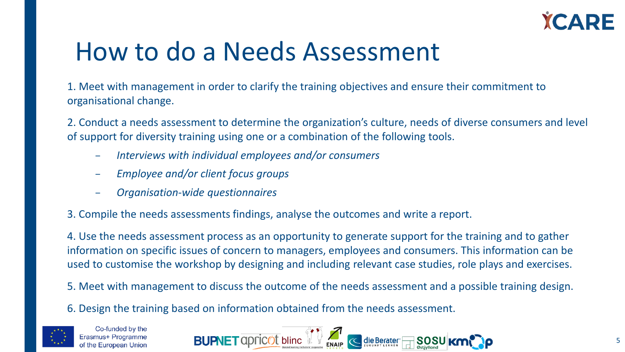

### How to do a Needs Assessment

1. Meet with management in order to clarify the training objectives and ensure their commitment to organisational change.

2. Conduct a needs assessment to determine the organization's culture, needs of diverse consumers and level of support for diversity training using one or a combination of the following tools.

- *Interviews with individual employees and/or consumers*
- *Employee and/or client focus groups*
- *Organisation-wide questionnaires*
- 3. Compile the needs assessments findings, analyse the outcomes and write a report.

4. Use the needs assessment process as an opportunity to generate support for the training and to gather information on specific issues of concern to managers, employees and consumers. This information can be used to customise the workshop by designing and including relevant case studies, role plays and exercises.

- 5. Meet with management to discuss the outcome of the needs assessment and a possible training design.
- 6. Design the training based on information obtained from the needs assessment.



Co-funded by the Frasmus+ Programme of the European Union

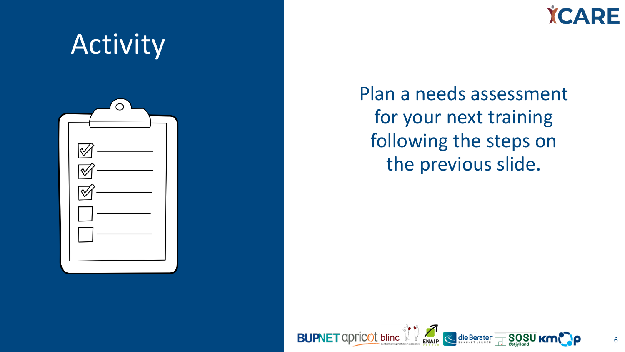**YCARE** 



Plan a needs assessment for your next training following the steps on the previous slide.

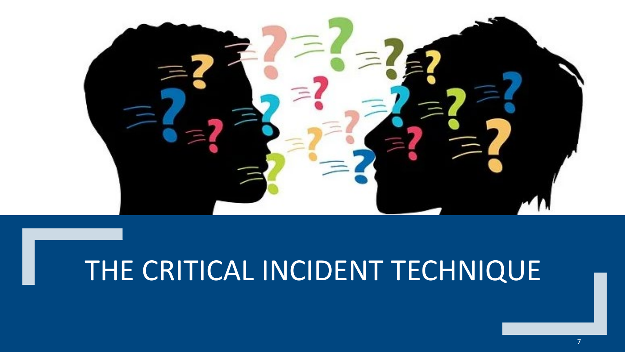

# THE CRITICAL INCIDENT TECHNIQUE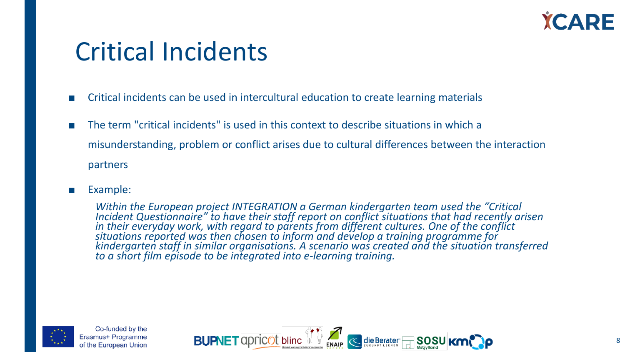

### Critical Incidents

- Critical incidents can be used in intercultural education to create learning materials
- The term "critical incidents" is used in this context to describe situations in which a misunderstanding, problem or conflict arises due to cultural differences between the interaction partners
- Example:

*Within the European project INTEGRATION a German kindergarten team used the "Critical Incident Questionnaire" to have their staff report on conflict situations that had recently arisen in their everyday work, with regard to parents from different cultures. One of the conflict situations reported was then chosen to inform and develop a training programme for kindergarten staff in similar organisations. A scenario was created and the situation transferred to a short film episode to be integrated into e-learning training.* 



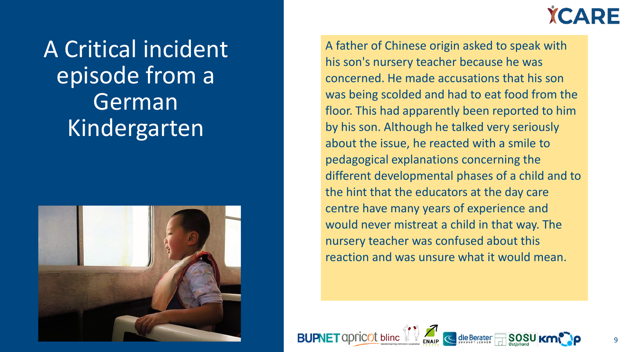A Critical incident episode from a German Kindergarten





A father of Chinese origin asked to speak with his son's nursery teacher because he was concerned. He made accusations that his son was being scolded and had to eat food from the floor. This had apparently been reported to him by his son. Although he talked very seriously about the issue, he reacted with a smile to pedagogical explanations concerning the different developmental phases of a child and to the hint that the educators at the day care centre have many years of experience and would never mistreat a child in that way. The nursery teacher was confused about this reaction and was unsure what it would mean.

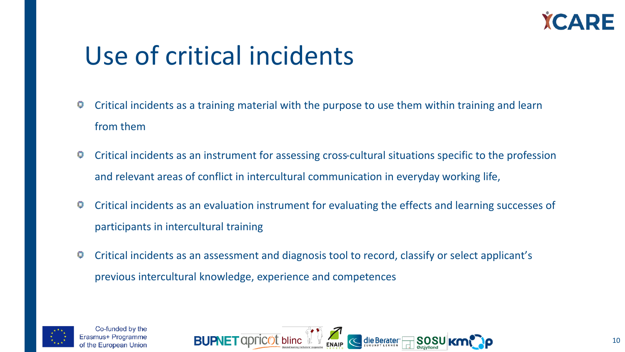

### Use of critical incidents

- Ç Critical incidents as a training material with the purpose to use them within training and learn from them
- 9 Critical incidents as an instrument for assessing cross-cultural situations specific to the profession and relevant areas of conflict in intercultural communication in everyday working life,
- Critical incidents as an evaluation instrument for evaluating the effects and learning successes of Ģ participants in intercultural training
- Ç Critical incidents as an assessment and diagnosis tool to record, classify or select applicant's previous intercultural knowledge, experience and competences



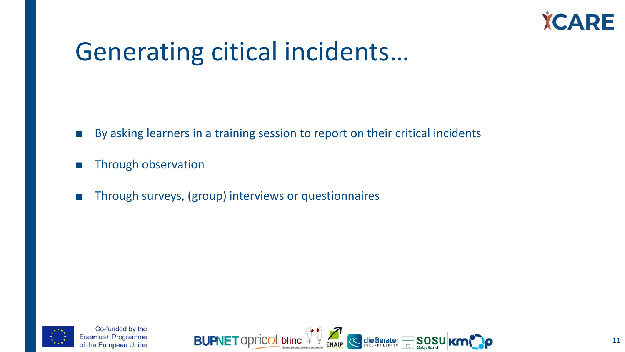

### Generating citical incidents…

- By asking learners in a training session to report on their critical incidents
- Through observation
- Through surveys, (group) interviews or questionnaires



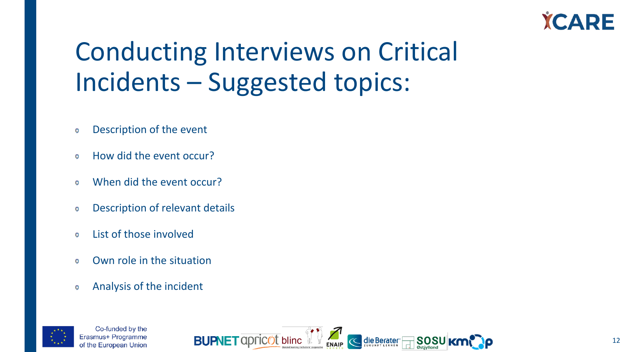

### Conducting Interviews on Critical Incidents – Suggested topics:

- Description of the event G
- How did the event occur?  $\Box$
- When did the event occur?  $\Box$
- Description of relevant details Ģ
- List of those involved G
- Own role in the situation  $\mathbf \Omega$
- Analysis of the incident 0



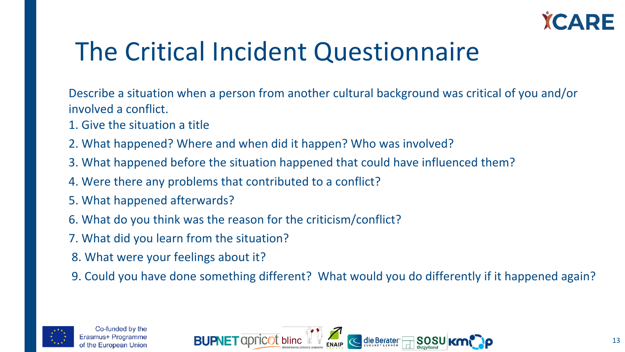

### The Critical Incident Questionnaire

Describe a situation when a person from another cultural background was critical of you and/or involved a conflict.

- 1. Give the situation a title
- 2. What happened? Where and when did it happen? Who was involved?
- 3. What happened before the situation happened that could have influenced them?
- 4. Were there any problems that contributed to a conflict?
- 5. What happened afterwards?
- 6. What do you think was the reason for the criticism/conflict?
- 7. What did you learn from the situation?
- 8. What were your feelings about it?
- 9. Could you have done something different? What would you do differently if it happened again?



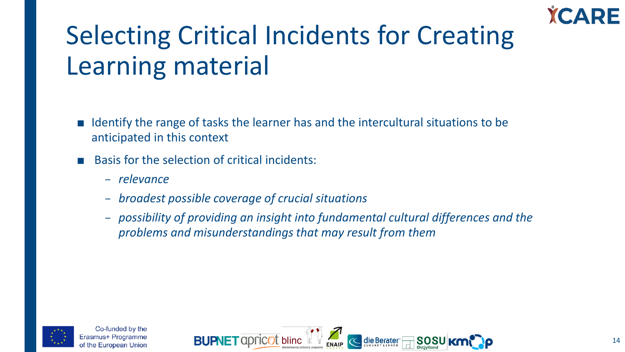# Selecting Critical Incidents for Creating Learning material

- Identify the range of tasks the learner has and the intercultural situations to be anticipated in this context
- Basis for the selection of critical incidents:
	- *relevance*
	- *broadest possible coverage of crucial situations*
	- *possibility of providing an insight into fundamental cultural differences and the problems and misunderstandings that may result from them*



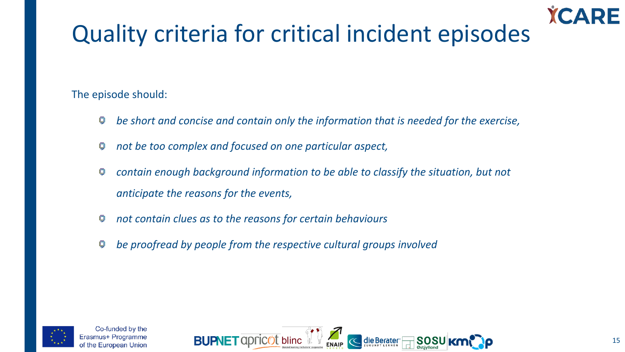### Quality criteria for critical incident episodes

The episode should:

- *be short and concise and contain only the information that is needed for the exercise,* 9
- *not be too complex and focused on one particular aspect,* 9
- *contain enough background information to be able to classify the situation, but not*  Ģ *anticipate the reasons for the events,*
- *not contain clues as to the reasons for certain behaviours* 9
- *be proofread by people from the respective cultural groups involved*





RF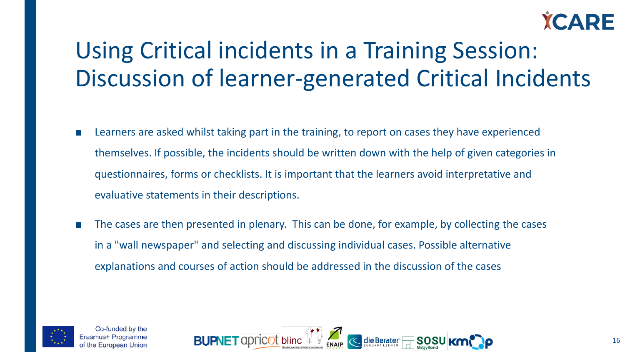

### Using Critical incidents in a Training Session: Discussion of learner-generated Critical Incidents

- Learners are asked whilst taking part in the training, to report on cases they have experienced themselves. If possible, the incidents should be written down with the help of given categories in questionnaires, forms or checklists. It is important that the learners avoid interpretative and evaluative statements in their descriptions.
- The cases are then presented in plenary. This can be done, for example, by collecting the cases in a "wall newspaper" and selecting and discussing individual cases. Possible alternative explanations and courses of action should be addressed in the discussion of the cases



Co-funded by the nus+ Programme f the European Union

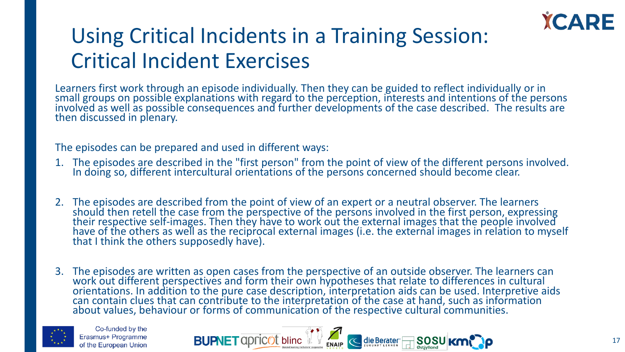

### Using Critical Incidents in a Training Session: Critical Incident Exercises

Learners first work through an episode individually. Then they can be guided to reflect individually or in small groups on possible explanations with regard to the perception, interests and intentions of the persons involved as well as possible consequences and further developments of the case described. The results are then discussed in plenary.

The episodes can be prepared and used in different ways:

- 1. The episodes are described in the "first person" from the point of view of the different persons involved. In doing so, different intercultural orientations of the persons concerned should become clear.
- 2. The episodes are described from the point of view of an expert or a neutral observer. The learners should then retell the case from the perspective of the persons involved in the first person, expressing their respective self-images. Then they have to work out the external images that the people involved<br>have of the others as well as the reciprocal external images (i.e. the external images in relation to myself that I think the others supposedly have).
- 3. The episodes are written as open cases from the perspective of an outside observer. The learners can work out different perspectives and form their own hypotheses that relate to differences in cultural orientations. In addition to the pure case description, interpretation aids can be used. Interpretive aids can contain clues that can contribute to the interpretation of the case at hand, such as information about values, behaviour or forms of communication of the respective cultural communities.



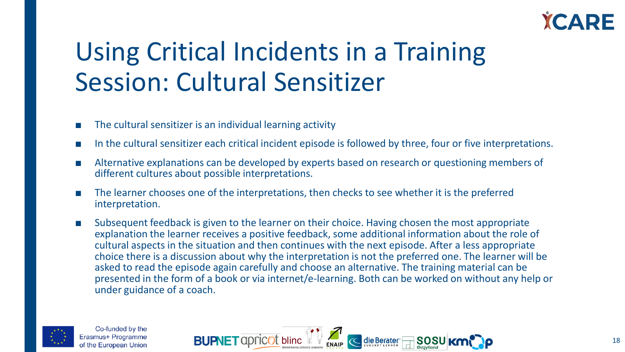

### Using Critical Incidents in a Training Session: Cultural Sensitizer

- The cultural sensitizer is an individual learning activity
- In the cultural sensitizer each critical incident episode is followed by three, four or five interpretations.
- Alternative explanations can be developed by experts based on research or questioning members of different cultures about possible interpretations.
- The learner chooses one of the interpretations, then checks to see whether it is the preferred interpretation.
- Subsequent feedback is given to the learner on their choice. Having chosen the most appropriate explanation the learner receives a positive feedback, some additional information about the role of cultural aspects in the situation and then continues with the next episode. After a less appropriate choice there is a discussion about why the interpretation is not the preferred one. The learner will be asked to read the episode again carefully and choose an alternative. The training material can be presented in the form of a book or via internet/e-learning. Both can be worked on without any help or under guidance of a coach.



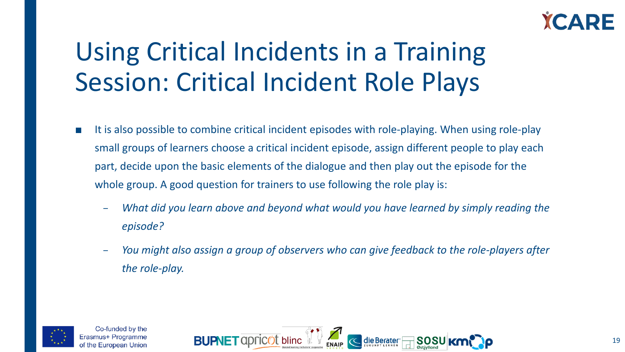

# Using Critical Incidents in a Training Session: Critical Incident Role Plays

- It is also possible to combine critical incident episodes with role-playing. When using role-play small groups of learners choose a critical incident episode, assign different people to play each part, decide upon the basic elements of the dialogue and then play out the episode for the whole group. A good question for trainers to use following the role play is:
	- *What did you learn above and beyond what would you have learned by simply reading the episode?*
	- *You might also assign a group of observers who can give feedback to the role-players after the role-play.*



Co-funded by the rasmus+ Programme of the European Union

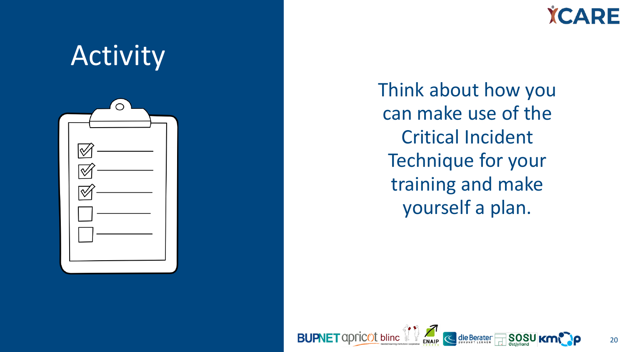

**YCARE** 

Think about how you can make use of the Critical Incident Technique for your training and make yourself a plan.

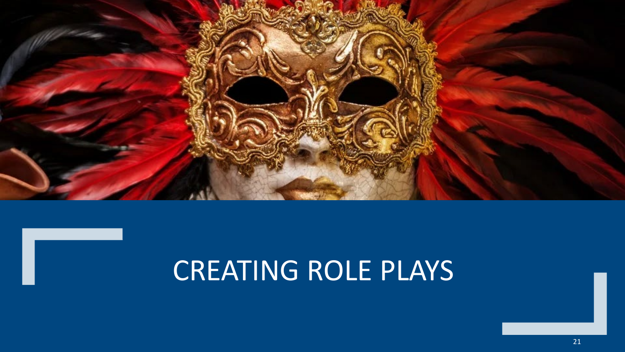

# CREATING ROLE PLAYS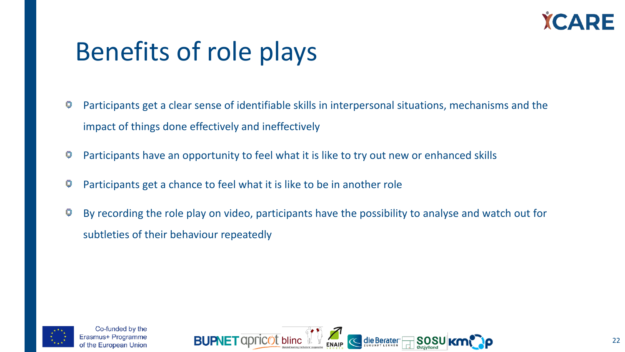

### Benefits of role plays

- ģ Participants get a clear sense of identifiable skills in interpersonal situations, mechanisms and the impact of things done effectively and ineffectively
- Participants have an opportunity to feel what it is like to try out new or enhanced skills
- Participants get a chance to feel what it is like to be in another role
- By recording the role play on video, participants have the possibility to analyse and watch out for ģ subtleties of their behaviour repeatedly



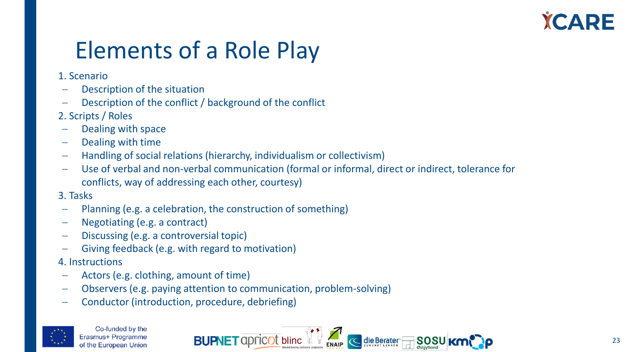### Elements of a Role Play

### 1. Scenario

- Description of the situation
- Description of the conflict / background of the conflict
- 2. Scripts / Roles
- Dealing with space
- − Dealing with time
- − Handling of social relations (hierarchy, individualism or collectivism)
- Use of verbal and non-verbal communication (formal or informal, direct or indirect, tolerance for conflicts, way of addressing each other, courtesy)

### 3. Tasks

- Planning (e.g. a celebration, the construction of something)
- − Negotiating (e.g. a contract)
- − Discussing (e.g. a controversial topic)
- − Giving feedback (e.g. with regard to motivation)

### 4. Instructions

- − Actors (e.g. clothing, amount of time)
- − Observers (e.g. paying attention to communication, problem-solving)
- − Conductor (introduction, procedure, debriefing)



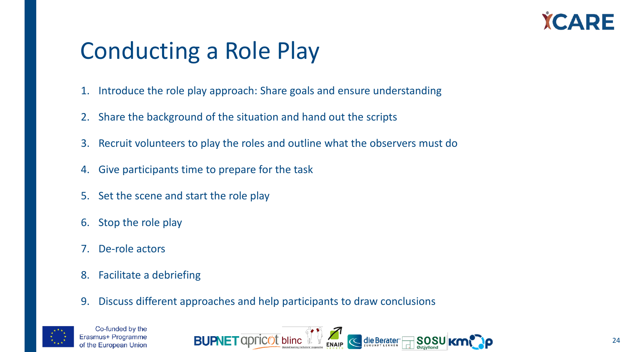

### Conducting a Role Play

- 1. Introduce the role play approach: Share goals and ensure understanding
- 2. Share the background of the situation and hand out the scripts
- 3. Recruit volunteers to play the roles and outline what the observers must do
- 4. Give participants time to prepare for the task
- 5. Set the scene and start the role play
- 6. Stop the role play
- 7. De-role actors
- 8. Facilitate a debriefing
- 9. Discuss different approaches and help participants to draw conclusions



Co-funded by the Frasmus+ Programme of the European Union

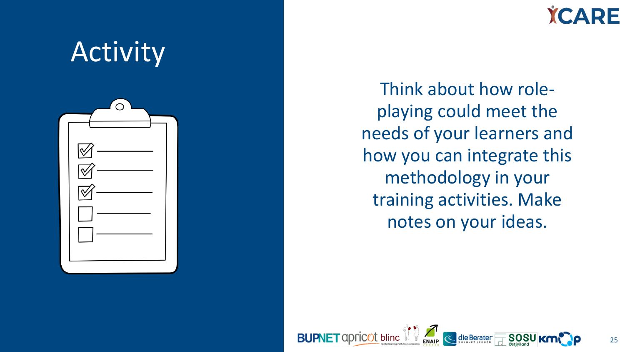

**YCARE** 

Think about how roleplaying could meet the needs of your learners and how you can integrate this methodology in your training activities. Make notes on your ideas.

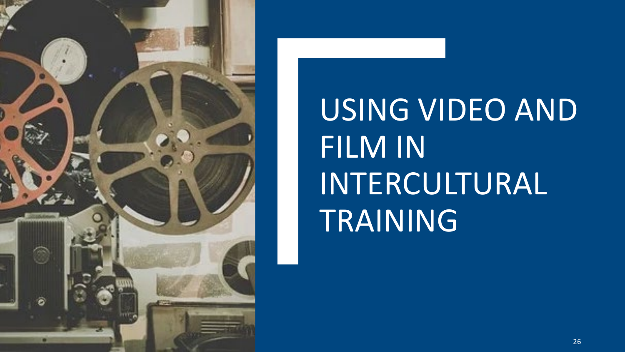

USING VIDEO AND FILM IN INTERCULTURAL TRAINING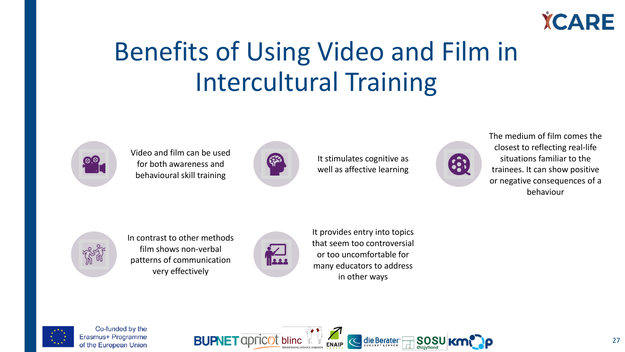

# Benefits of Using Video and Film in Intercultural Training



Video and film can be used for both awareness and behavioural skill training



It stimulates cognitive as well as affective learning



The medium of film comes the closest to reflecting real-life situations familiar to the trainees. It can show positive or negative consequences of a behaviour



In contrast to other methods film shows non-verbal patterns of communication very effectively



It provides entry into topics that seem too controversial or too uncomfortable for many educators to address in other ways



Co-funded by the Erasmus+ Programme of the European Union

**BUPNET** apricot bline  $\begin{bmatrix} 1 & 1 \end{bmatrix}$   $\begin{bmatrix} 1 & 1 \end{bmatrix}$  die Berater F SOSU<sub>KM</sub>e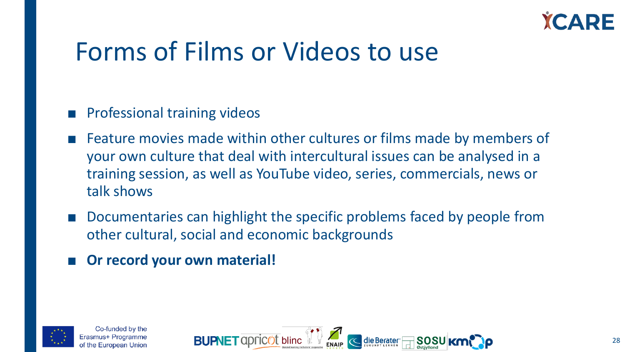

### Forms of Films or Videos to use

### ■ Professional training videos

- Feature movies made within other cultures or films made by members of your own culture that deal with intercultural issues can be analysed in a training session, as well as YouTube video, series, commercials, news or talk shows
- Documentaries can highlight the specific problems faced by people from other cultural, social and economic backgrounds
- **Or record your own material!**

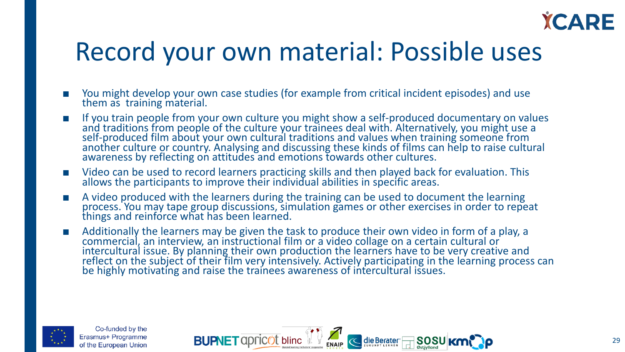

### Record your own material: Possible uses

- You might develop your own case studies (for example from critical incident episodes) and use them as training material.
- If you train people from your own culture you might show a self-produced documentary on values and traditions from people of the culture your trainees deal with. Alternatively, you might use a self-produced film about your own cultural traditions and values when training someone from<br>another culture or country. Analysing and discussing these kinds of films can help to raise cultural another culture or country. Analysing and discussing these kinds of films can help to raise cultural awareness by reflecting on attitudes and emotions towards other cultures.
- Video can be used to record learners practicing skills and then played back for evaluation. This allows the participants to improve their individual abilities in specific areas.
- A video produced with the learners during the training can be used to document the learning process. You may tape group discussions, simulation games or other exercises in order to repeat things and reinforce what has been learned.
- Additionally the learners may be given the task to produce their own video in form of a play, a commercial, an interview, an instructional film or a video collage on a certain cultural or intercultural issue. By planning their own production the learners have to be very creative and reflect on the subject of their film very intensively. Actively participating in the learning process can be highly motivating and raise the trainees awareness of intercultural issues.



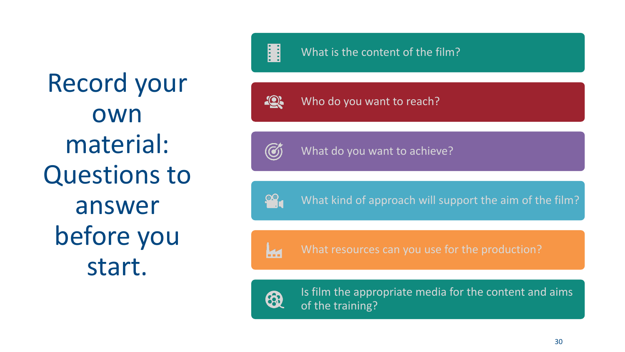Record your own material: Questions to answer before you start.

10 Who do you want to reach?

 $\bigcirc$ 

What do you want to achieve?

 $\begin{bmatrix} 0 \\ 1 \end{bmatrix}$ What kind of approach will support the aim of the film?

**k**a What resources can you use for the production?



Is film the appropriate media for the content and aims of the training?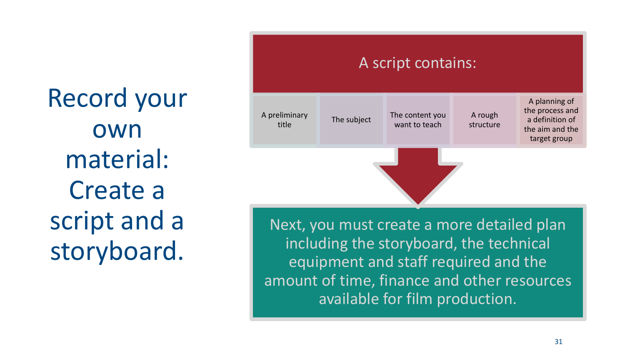Record your own material: Create a script and a storyboard.



Next, you must create a more detailed plan including the storyboard, the technical equipment and staff required and the amount of time, finance and other resources available for film production.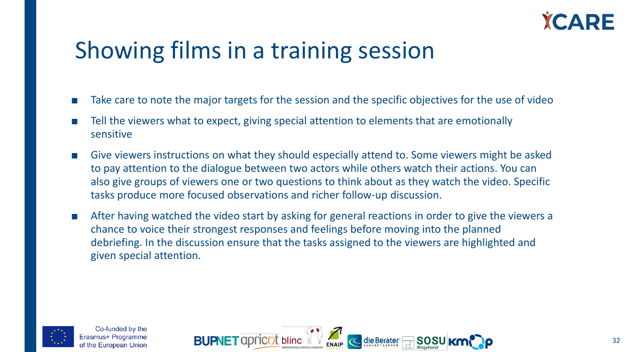

### Showing films in a training session

- Take care to note the major targets for the session and the specific objectives for the use of video
- Tell the viewers what to expect, giving special attention to elements that are emotionally sensitive
- Give viewers instructions on what they should especially attend to. Some viewers might be asked to pay attention to the dialogue between two actors while others watch their actions. You can also give groups of viewers one or two questions to think about as they watch the video. Specific tasks produce more focused observations and richer follow-up discussion.
- After having watched the video start by asking for general reactions in order to give the viewers a chance to voice their strongest responses and feelings before moving into the planned debriefing. In the discussion ensure that the tasks assigned to the viewers are highlighted and given special attention.



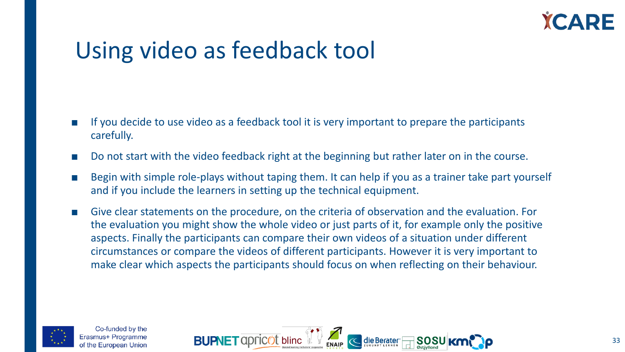

### Using video as feedback tool

- If you decide to use video as a feedback tool it is very important to prepare the participants carefully.
- Do not start with the video feedback right at the beginning but rather later on in the course.
- Begin with simple role-plays without taping them. It can help if you as a trainer take part yourself and if you include the learners in setting up the technical equipment.
- Give clear statements on the procedure, on the criteria of observation and the evaluation. For the evaluation you might show the whole video or just parts of it, for example only the positive aspects. Finally the participants can compare their own videos of a situation under different circumstances or compare the videos of different participants. However it is very important to make clear which aspects the participants should focus on when reflecting on their behaviour.



Co-funded by the rasmus+ Programme of the European Union

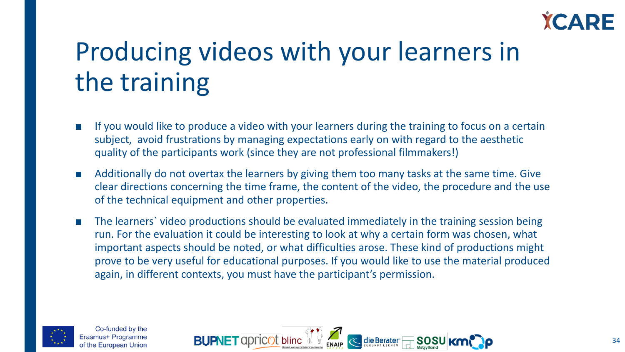

# Producing videos with your learners in the training

- If you would like to produce a video with your learners during the training to focus on a certain subject, avoid frustrations by managing expectations early on with regard to the aesthetic quality of the participants work (since they are not professional filmmakers!)
- Additionally do not overtax the learners by giving them too many tasks at the same time. Give clear directions concerning the time frame, the content of the video, the procedure and the use of the technical equipment and other properties.
- The learners video productions should be evaluated immediately in the training session being run. For the evaluation it could be interesting to look at why a certain form was chosen, what important aspects should be noted, or what difficulties arose. These kind of productions might prove to be very useful for educational purposes. If you would like to use the material produced again, in different contexts, you must have the participant's permission.



Co-funded by the rasmus+ Programme of the European Union

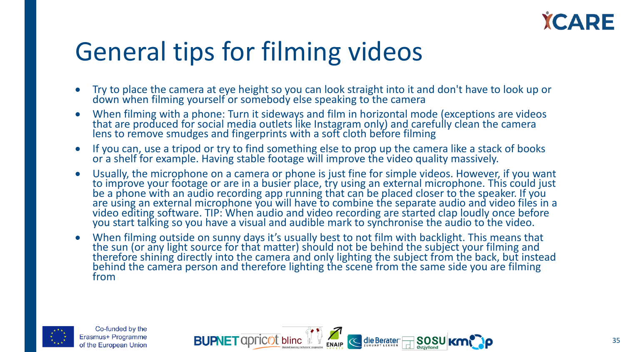

### General tips for filming videos

- Try to place the camera at eye height so you can look straight into it and don't have to look up or down when filming yourself or somebody else speaking to the camera
- When filming with a phone: Turn it sideways and film in horizontal mode (exceptions are videos that are produced for social media outlets like Instagram only) and carefully clean the camera lens to remove smudges and fingerprints with a soft cloth before filming
- If you can, use a tripod or try to find something else to prop up the camera like a stack of books or a shelf for example. Having stable footage will improve the video quality massively.
- Usually, the microphone on a camera or phone is just fine for simple videos. However, if you want to improve your footage or are in a busier place, try using an external microphone. This could just be a phone with an audio recording app running that can be placed closer to the speaker. If you are using an external microphone you will have to combine the separate audio and video files in a video editing software. TIP: When audio and video recording are started clap loudly once before you start talking so you have a visual and audible mark to synchronise the audio to the video.
- When filming outside on sunny days it's usually best to not film with backlight. This means that the sun (or any light source for that matter) should not be behind the subject your filming and therefore shining directly into the camera and only lighting the subject from the back, but instead behind the camera person and therefore lighting the scene from the same side you are filming from



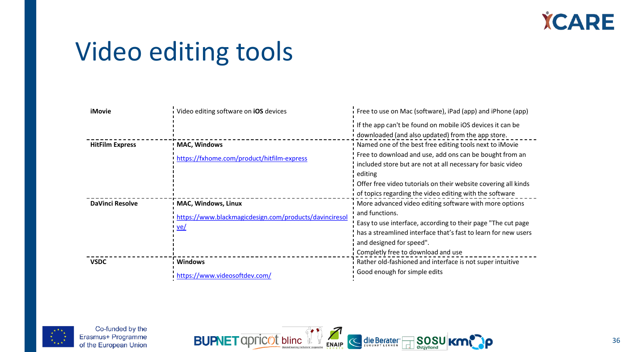

### Video editing tools

| <b>iMovie</b>          | Video editing software on iOS devices                           | Free to use on Mac (software), iPad (app) and iPhone (app)                                                                                                                                                                                                     |
|------------------------|-----------------------------------------------------------------|----------------------------------------------------------------------------------------------------------------------------------------------------------------------------------------------------------------------------------------------------------------|
|                        |                                                                 | If the app can't be found on mobile iOS devices it can be<br>downloaded (and also updated) from the app store.                                                                                                                                                 |
| <b>HitFilm Express</b> | <b>MAC, Windows</b>                                             | Named one of the best free editing tools next to iMovie                                                                                                                                                                                                        |
|                        | https://fxhome.com/product/hitfilm-express                      | Free to download and use, add ons can be bought from an<br>included store but are not at all necessary for basic video<br>editing<br>Offer free video tutorials on their website covering all kinds<br>of topics regarding the video editing with the software |
| <b>DaVinci Resolve</b> | <b>MAC, Windows, Linux</b>                                      | More advanced video editing software with more options                                                                                                                                                                                                         |
|                        | https://www.blackmagicdesign.com/products/davinciresol<br>$ve/$ | and functions.<br>Easy to use interface, according to their page "The cut page<br>has a streamlined interface that's fast to learn for new users<br>and designed for speed".<br>Completly free to download and use                                             |
| <b>VSDC</b>            | <b>Windows</b>                                                  | Rather old-fashioned and interface is not super intuitive                                                                                                                                                                                                      |
|                        | https://www.videosoftdev.com/                                   | Good enough for simple edits                                                                                                                                                                                                                                   |



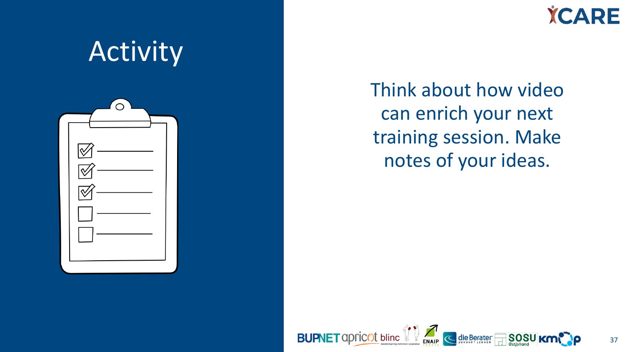**YCARE** 

37

# **Activity**  $\sigma$

Think about how video can enrich your next training session. Make notes of your ideas.